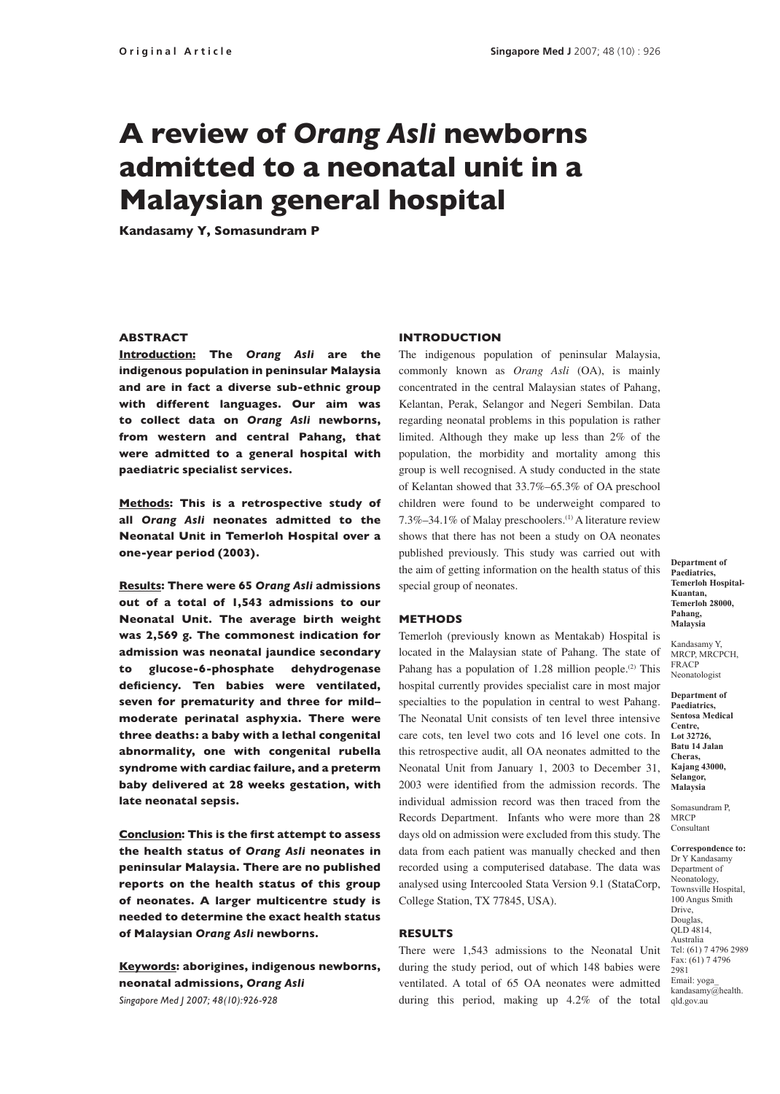# A review of *Orang Asli* newborns admitted to a neonatal unit in a Malaysian general hospital

Kandasamy Y, Somasundram P

# **ABSTRACT**

Introduction: The *Orang Asli* are the indigenous population in peninsular Malaysia and are in fact a diverse sub-ethnic group with different languages. Our aim was to collect data on *Orang Asli* newborns, from western and central Pahang, that were admitted to a general hospital with paediatric specialist services.

Methods: This is a retrospective study of all *Orang Asli* neonates admitted to the Neonatal Unit in Temerloh Hospital over a one-year period (2003).

Results: There were 65 *Orang Asli* admissions out of a total of 1,543 admissions to our Neonatal Unit. The average birth weight was 2,569 g. The commonest indication for admission was neonatal jaundice secondary to glucose-6-phosphate dehydrogenase deficiency. Ten babies were ventilated, seven for prematurity and three for mild– moderate perinatal asphyxia. There were three deaths: a baby with a lethal congenital abnormality, one with congenital rubella syndrome with cardiac failure, and a preterm baby delivered at 28 weeks gestation, with late neonatal sepsis.

Conclusion: This is the first attempt to assess the health status of *Orang Asli* neonates in peninsular Malaysia. There are no published reports on the health status of this group of neonates. A larger multicentre study is needed to determine the exact health status of Malaysian *Orang Asli* newborns.

Keywords: aborigines, indigenous newborns, neonatal admissions, *Orang Asli Singapore Med J 2007; 48(10):926-928*

#### INTRODUCTION

The indigenous population of peninsular Malaysia, commonly known as *Orang Asli* (OA), is mainly concentrated in the central Malaysian states of Pahang, Kelantan, Perak, Selangor and Negeri Sembilan. Data regarding neonatal problems in this population is rather limited. Although they make up less than 2% of the population, the morbidity and mortality among this group is well recognised. A study conducted in the state of Kelantan showed that 33.7%–65.3% of OA preschool children were found to be underweight compared to 7.3%–34.1% of Malay preschoolers.(1) A literature review shows that there has not been a study on OA neonates published previously. This study was carried out with the aim of getting information on the health status of this special group of neonates.

## METHODS

Temerloh (previously known as Mentakab) Hospital is located in the Malaysian state of Pahang. The state of Pahang has a population of 1.28 million people.<sup>(2)</sup> This hospital currently provides specialist care in most major specialties to the population in central to west Pahang. The Neonatal Unit consists of ten level three intensive care cots, ten level two cots and 16 level one cots. In this retrospective audit, all OA neonates admitted to the Neonatal Unit from January 1, 2003 to December 31, 2003 were identified from the admission records. The individual admission record was then traced from the Records Department. Infants who were more than 28 days old on admission were excluded from this study. The data from each patient was manually checked and then recorded using a computerised database. The data was analysed using Intercooled Stata Version 9.1 (StataCorp, College Station, TX 77845, USA).

## RESULTS

There were 1,543 admissions to the Neonatal Unit during the study period, out of which 148 babies were ventilated. A total of 65 OA neonates were admitted during this period, making up 4.2% of the total qld.gov.au

**Department of Paediatrics, Temerloh Hospital-Kuantan, Temerloh 28000, Pahang, Malaysia**

Kandasamy Y, MRCP, MRCPCH, FRACP Neonatologist

**Department of Paediatrics, Sentosa Medical Centre, Lot 32726, Batu 14 Jalan Cheras, Kajang 43000, Selangor, Malaysia**

Somasundram P, MRCP Consultant

**Correspondence to:** Dr Y Kandasamy Department of Neonatology, Townsville Hospital, 100 Angus Smith Drive, Douglas, QLD 4814, Australia Tel: (61) 7 4796 2989 Fax: (61) 7 4796 2981 Email: yoga\_ kandasamy@health.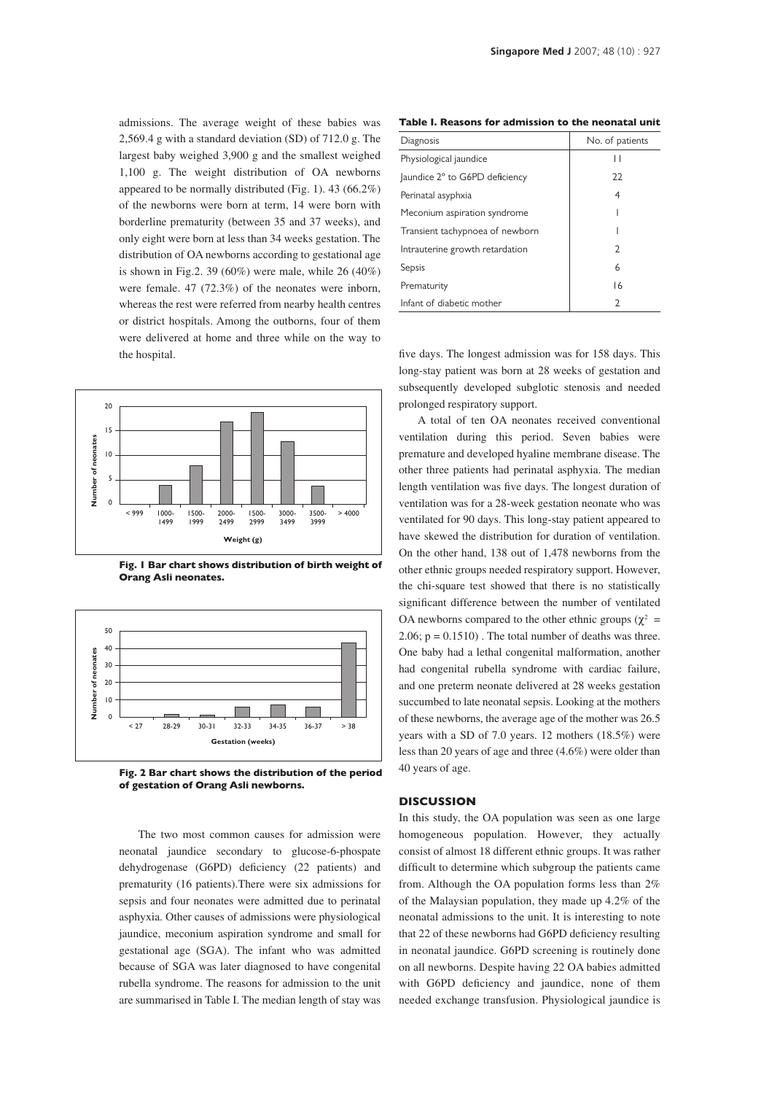admissions. The average weight of these babies was 2,569.4 g with a standard deviation (SD) of 712.0 g. The largest baby weighed 3,900 g and the smallest weighed 1,100 g. The weight distribution of OA newborns appeared to be normally distributed (Fig. 1). 43 (66.2%) of the newborns were born at term, 14 were born with borderline prematurity (between 35 and 37 weeks), and only eight were born at less than 34 weeks gestation. The distribution of OA newborns according to gestational age is shown in Fig.2. 39 (60%) were male, while 26 (40%) were female. 47 (72.3%) of the neonates were inborn, whereas the rest were referred from nearby health centres or district hospitals. Among the outborns, four of them were delivered at home and three while on the way to the hospital.



Fig. 1 Bar chart shows distribution of birth weight of Orang Asli neonates.



Fig. 2 Bar chart shows the distribution of the period of gestation of Orang Asli newborns.

The two most common causes for admission were neonatal jaundice secondary to glucose-6-phospate dehydrogenase (G6PD) deficiency (22 patients) and prematurity (16 patients).There were six admissions for sepsis and four neonates were admitted due to perinatal asphyxia. Other causes of admissions were physiological jaundice, meconium aspiration syndrome and small for gestational age (SGA). The infant who was admitted because of SGA was later diagnosed to have congenital rubella syndrome. The reasons for admission to the unit are summarised in Table I. The median length of stay was

Table I. Reasons for admission to the neonatal unit

| Diagnosis                       | No. of patients |
|---------------------------------|-----------------|
| Physiological jaundice          | Н               |
| Jaundice 2° to G6PD deficiency  | 22              |
| Perinatal asyphxia              | 4               |
| Meconium aspiration syndrome    |                 |
| Transient tachypnoea of newborn |                 |
| Intrauterine growth retardation | C               |
| Sepsis                          | 6               |
| Prematurity                     | 16              |
| Infant of diabetic mother       | 2               |

five days. The longest admission was for 158 days. This long-stay patient was born at 28 weeks of gestation and subsequently developed subglotic stenosis and needed prolonged respiratory support.

A total of ten OA neonates received conventional ventilation during this period. Seven babies were premature and developed hyaline membrane disease. The other three patients had perinatal asphyxia. The median length ventilation was five days. The longest duration of ventilation was for a 28-week gestation neonate who was ventilated for 90 days. This long-stay patient appeared to have skewed the distribution for duration of ventilation. On the other hand, 138 out of 1,478 newborns from the other ethnic groups needed respiratory support. However, the chi-square test showed that there is no statistically significant difference between the number of ventilated OA newborns compared to the other ethnic groups ( $\chi^2$  = 2.06;  $p = 0.1510$ ). The total number of deaths was three. One baby had a lethal congenital malformation, another had congenital rubella syndrome with cardiac failure, and one preterm neonate delivered at 28 weeks gestation succumbed to late neonatal sepsis. Looking at the mothers of these newborns, the average age of the mother was 26.5 years with a SD of 7.0 years. 12 mothers (18.5%) were less than 20 years of age and three (4.6%) were older than 40 years of age.

# **DISCUSSION**

In this study, the OA population was seen as one large homogeneous population. However, they actually consist of almost 18 different ethnic groups. It was rather difficult to determine which subgroup the patients came from. Although the OA population forms less than 2% of the Malaysian population, they made up 4.2% of the neonatal admissions to the unit. It is interesting to note that 22 of these newborns had G6PD deficiency resulting in neonatal jaundice. G6PD screening is routinely done on all newborns. Despite having 22 OA babies admitted with G6PD deficiency and jaundice, none of them needed exchange transfusion. Physiological jaundice is